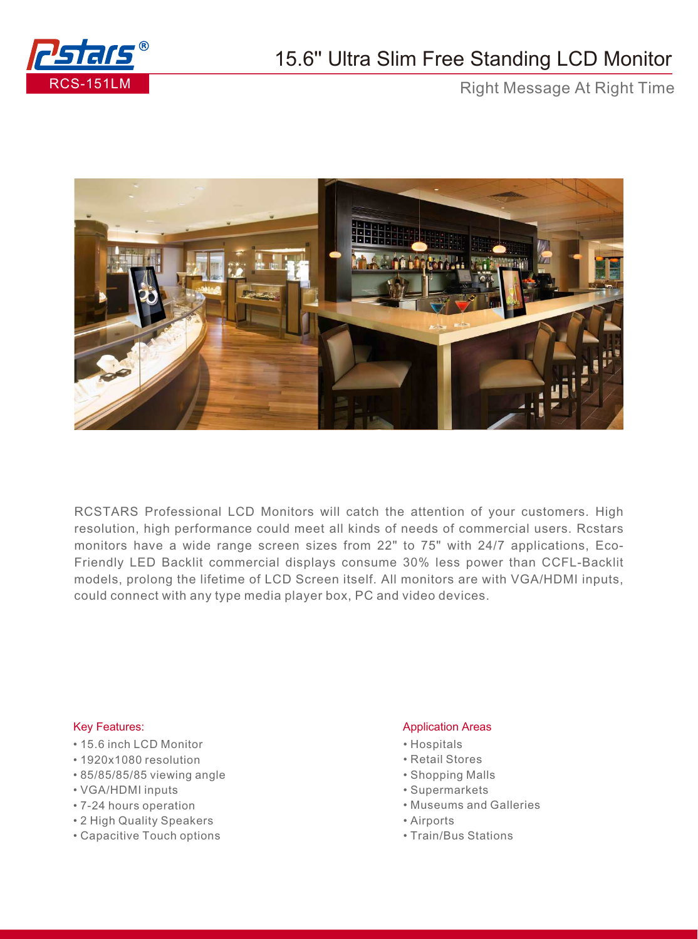

## 15.6'' Ultra Slim Free Standing LCD Monitor

Right Message At Right Time



RCSTARS Professional LCD Monitors will catch the attention of your customers. High resolution, high performance could meet all kinds of needs of commercial users. Rcstars monitors have a wide range screen sizes from 22" to 75" with 24/7 applications, Eco-Friendly LED Backlit commercial displays consume 30% less power than CCFL-Backlit models, prolong the lifetime of LCD Screen itself. All monitors are with VGA/HDMI inputs, could connect with any type media player box, PC and video devices.

## Key Features:

- 15.6 inch LCD Monitor
- 1920x1080 resolution
- 85/85/85/85 viewing angle
- VGA/HDMI inputs
- 7-24 hours operation
- 2 High Quality Speakers
- Capacitive Touch options

## Application Areas

- Hospitals
- Retail Stores
- Shopping Malls
- Supermarkets
- Museums and Galleries
- Airports
- Train/Bus Stations